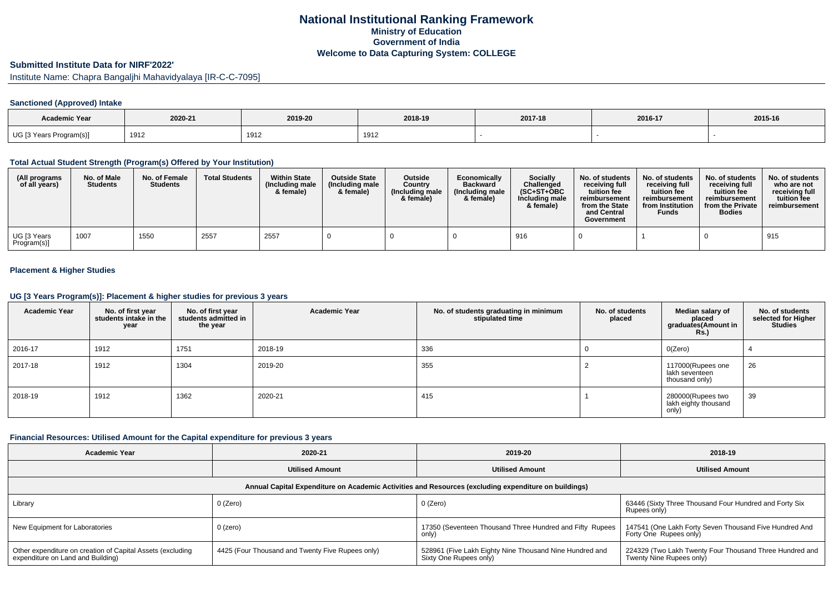# **National Institutional Ranking FrameworkMinistry of Education Government of IndiaWelcome to Data Capturing System: COLLEGE**

# **Submitted Institute Data for NIRF'2022'**

Institute Name: Chapra Bangaljhi Mahavidyalaya [IR-C-C-7095]

## **Sanctioned (Approved) Intake**

| <b>Academic Year</b>    | 2020-21         | 2019-20 | 2018-19 | 2017-18 | 2016-17 | 2015-16 |
|-------------------------|-----------------|---------|---------|---------|---------|---------|
| UG [3 Years Program(s)] | 1912<br>1 J 1 Z | 1912    | 1912    |         |         |         |

### **Total Actual Student Strength (Program(s) Offered by Your Institution)**

| (All programs<br>of all years) | No. of Male<br><b>Students</b> | No. of Female<br><b>Students</b> | <b>Total Students</b> | <b>Within State</b><br>(Including male<br>& female) | <b>Outside State</b><br>(Including male<br>& female) | <b>Outside</b><br>Country<br>(Including male<br>& female) | Economically<br><b>Backward</b><br>(Including male<br>& female) | <b>Socially</b><br>Challenged<br>$(SC+ST+OBC)$<br>Including male<br>& female) | No. of students<br>receiving full<br>tuition fee<br>reimbursement<br>from the State<br>and Central<br>Government | No. of students<br>receiving full<br>tuition fee<br>reimbursement<br>from Institution<br><b>Funds</b> | No. of students<br>receiving full<br>tuition fee<br>reimbursement<br>from the Private<br><b>Bodies</b> | No. of students<br>who are not<br>receiving full<br>tuition fee<br>reimbursement |
|--------------------------------|--------------------------------|----------------------------------|-----------------------|-----------------------------------------------------|------------------------------------------------------|-----------------------------------------------------------|-----------------------------------------------------------------|-------------------------------------------------------------------------------|------------------------------------------------------------------------------------------------------------------|-------------------------------------------------------------------------------------------------------|--------------------------------------------------------------------------------------------------------|----------------------------------------------------------------------------------|
| UG [3 Years<br>Program(s)]     | 1007                           | 1550                             | 2557                  | 2557                                                |                                                      |                                                           |                                                                 | 916                                                                           |                                                                                                                  |                                                                                                       |                                                                                                        | 915                                                                              |

## **Placement & Higher Studies**

#### **UG [3 Years Program(s)]: Placement & higher studies for previous 3 years**

| <b>Academic Year</b> | No. of first year<br>students intake in the<br>year | No. of first year<br>students admitted in<br>the year | <b>Academic Year</b> | No. of students graduating in minimum<br>stipulated time | No. of students<br>placed | Median salary of<br>placed<br>graduates(Amount in<br>Rs. | No. of students<br>selected for Higher<br><b>Studies</b> |
|----------------------|-----------------------------------------------------|-------------------------------------------------------|----------------------|----------------------------------------------------------|---------------------------|----------------------------------------------------------|----------------------------------------------------------|
| 2016-17              | 1912                                                | 1751                                                  | 2018-19              | 336                                                      |                           | O(Zero)                                                  |                                                          |
| 2017-18              | 1912                                                | 1304                                                  | 2019-20              | 355                                                      |                           | 117000(Rupees one<br>lakh seventeen<br>thousand only)    | 26                                                       |
| 2018-19              | 1912                                                | 1362                                                  | 2020-21              | 415                                                      |                           | 280000(Rupees two<br>lakh eighty thousand<br>only)       | 39                                                       |

## **Financial Resources: Utilised Amount for the Capital expenditure for previous 3 years**

| <b>Academic Year</b>                                                                                 | 2020-21                                          | 2019-20                                                                           | 2018-19                                                                             |  |  |  |  |  |  |
|------------------------------------------------------------------------------------------------------|--------------------------------------------------|-----------------------------------------------------------------------------------|-------------------------------------------------------------------------------------|--|--|--|--|--|--|
|                                                                                                      | <b>Utilised Amount</b>                           | <b>Utilised Amount</b>                                                            | <b>Utilised Amount</b>                                                              |  |  |  |  |  |  |
| Annual Capital Expenditure on Academic Activities and Resources (excluding expenditure on buildings) |                                                  |                                                                                   |                                                                                     |  |  |  |  |  |  |
| Library                                                                                              | 0 (Zero)                                         | 0 (Zero)                                                                          | 63446 (Sixty Three Thousand Four Hundred and Forty Six<br>Rupees only)              |  |  |  |  |  |  |
| New Equipment for Laboratories                                                                       | 0 (zero)                                         | 17350 (Seventeen Thousand Three Hundred and Fifty Rupees<br>only)                 | 147541 (One Lakh Forty Seven Thousand Five Hundred And<br>Forty One Rupees only)    |  |  |  |  |  |  |
| Other expenditure on creation of Capital Assets (excluding<br>expenditure on Land and Building)      | 4425 (Four Thousand and Twenty Five Rupees only) | 528961 (Five Lakh Eighty Nine Thousand Nine Hundred and<br>Sixty One Rupees only) | 224329 (Two Lakh Twenty Four Thousand Three Hundred and<br>Twenty Nine Rupees only) |  |  |  |  |  |  |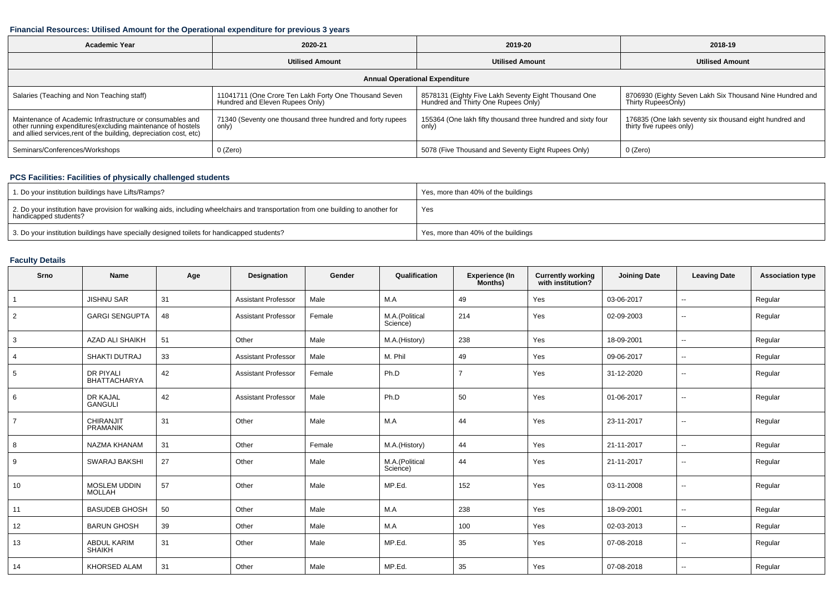## **Financial Resources: Utilised Amount for the Operational expenditure for previous 3 years**

| <b>Academic Year</b>                                                                                                                                                                           | 2020-21                                                                                  | 2019-20                                                                                     | 2018-19                                                                             |  |  |  |  |  |  |
|------------------------------------------------------------------------------------------------------------------------------------------------------------------------------------------------|------------------------------------------------------------------------------------------|---------------------------------------------------------------------------------------------|-------------------------------------------------------------------------------------|--|--|--|--|--|--|
|                                                                                                                                                                                                | <b>Utilised Amount</b>                                                                   | <b>Utilised Amount</b>                                                                      | <b>Utilised Amount</b>                                                              |  |  |  |  |  |  |
| <b>Annual Operational Expenditure</b>                                                                                                                                                          |                                                                                          |                                                                                             |                                                                                     |  |  |  |  |  |  |
| Salaries (Teaching and Non Teaching staff)                                                                                                                                                     | 11041711 (One Crore Ten Lakh Forty One Thousand Seven<br>Hundred and Eleven Rupees Only) | 8578131 (Eighty Five Lakh Seventy Eight Thousand One<br>Hundred and Thirty One Rupees Only) | 8706930 (Eighty Seven Lakh Six Thousand Nine Hundred and<br>Thirty RupeesOnly)      |  |  |  |  |  |  |
| Maintenance of Academic Infrastructure or consumables and<br>other running expenditures(excluding maintenance of hostels<br>and allied services, rent of the building, depreciation cost, etc) | 71340 (Seventy one thousand three hundred and forty rupees<br>only)                      | 155364 (One lakh fifty thousand three hundred and sixty four<br>only)                       | 176835 (One lakh seventy six thousand eight hundred and<br>thirty five rupees only) |  |  |  |  |  |  |
| Seminars/Conferences/Workshops                                                                                                                                                                 | 0 (Zero)                                                                                 | 5078 (Five Thousand and Seventy Eight Rupees Only)                                          | 0 (Zero)                                                                            |  |  |  |  |  |  |

## **PCS Facilities: Facilities of physically challenged students**

| 1. Do your institution buildings have Lifts/Ramps?                                                                                                         | Yes, more than 40% of the buildings |
|------------------------------------------------------------------------------------------------------------------------------------------------------------|-------------------------------------|
| 2. Do your institution have provision for walking aids, including wheelchairs and transportation from one building to another for<br>handicapped students? | Yes                                 |
| 3. Do your institution buildings have specially designed toilets for handicapped students?                                                                 | Yes, more than 40% of the buildings |

## **Faculty Details**

| Srno           | Name                                 | Age    | Designation                | Gender | Qualification              | <b>Experience (In</b><br>Months) | <b>Currently working</b><br>with institution? | <b>Joining Date</b> | <b>Leaving Date</b>      | <b>Association type</b> |
|----------------|--------------------------------------|--------|----------------------------|--------|----------------------------|----------------------------------|-----------------------------------------------|---------------------|--------------------------|-------------------------|
| $\mathbf{1}$   | <b>JISHNU SAR</b>                    | 31     | <b>Assistant Professor</b> | Male   | M.A                        | 49                               | Yes                                           | 03-06-2017          | $\overline{\phantom{a}}$ | Regular                 |
| $\overline{2}$ | <b>GARGI SENGUPTA</b>                | 48     | <b>Assistant Professor</b> | Female | M.A.(Political<br>Science) | 214                              | Yes                                           | 02-09-2003          | $\overline{\phantom{a}}$ | Regular                 |
| 3              | <b>AZAD ALI SHAIKH</b>               | 51     | Other                      | Male   | M.A.(History)              | 238                              | Yes                                           | 18-09-2001          | $\mathbf{u}$             | Regular                 |
| $\overline{4}$ | SHAKTI DUTRAJ                        | 33     | <b>Assistant Professor</b> | Male   | M. Phil                    | 49                               | Yes                                           | 09-06-2017          | $\sim$                   | Regular                 |
| 5              | DR PIYALI<br>BHATTACHARYA            | 42     | <b>Assistant Professor</b> | Female | Ph.D                       | $\overline{7}$                   | Yes                                           | 31-12-2020          | $\sim$                   | Regular                 |
| 6              | DR KAJAL<br><b>GANGULI</b>           | 42     | <b>Assistant Professor</b> | Male   | Ph.D                       | 50                               | Yes                                           | 01-06-2017          | $\sim$                   | Regular                 |
| $\overline{7}$ | CHIRANJIT<br><b>PRAMANIK</b>         | 31     | Other                      | Male   | M.A                        | 44                               | Yes                                           | 23-11-2017          | $\mathbf{u}$             | Regular                 |
| 8              | NAZMA KHANAM                         | 31     | Other                      | Female | M.A.(History)              | 44                               | Yes                                           | 21-11-2017          | $\overline{\phantom{a}}$ | Regular                 |
| 9              | SWARAJ BAKSHI                        | 27     | Other                      | Male   | M.A.(Political<br>Science) | 44                               | Yes                                           | 21-11-2017          | $\sim$                   | Regular                 |
| 10             | <b>MOSLEM UDDIN</b><br><b>MOLLAH</b> | 57     | Other                      | Male   | MP.Ed.                     | 152                              | Yes                                           | 03-11-2008          | $\sim$                   | Regular                 |
| 11             | <b>BASUDEB GHOSH</b>                 | $50\,$ | Other                      | Male   | M.A                        | 238                              | Yes                                           | 18-09-2001          | $\sim$                   | Regular                 |
| 12             | <b>BARUN GHOSH</b>                   | 39     | Other                      | Male   | M.A                        | 100                              | Yes                                           | 02-03-2013          | $\sim$                   | Regular                 |
| 13             | ABDUL KARIM<br><b>SHAIKH</b>         | 31     | Other                      | Male   | MP.Ed.                     | 35                               | Yes                                           | 07-08-2018          | $\sim$                   | Regular                 |
| 14             | KHORSED ALAM                         | 31     | Other                      | Male   | MP.Ed.                     | 35                               | Yes                                           | 07-08-2018          | $\sim$                   | Regular                 |